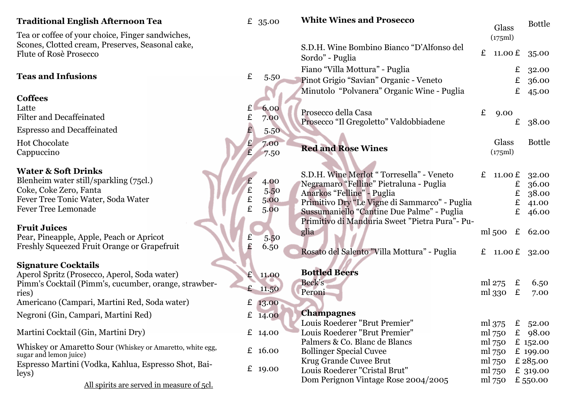## **Traditional English Afternoon Tea**  $\qquad \qquad$  £ 35.00

Tea or coffee of your choice, Finger sandwiches, Scones, Clotted cream, Preserves, Seasonal cake, Flute of Rosè Prosecco

## **Teas and Infusions**  $\qquad \qquad \epsilon \qquad 5.50$

**Coffees** Latte  $\epsilon$  6.00 Filter and Decaffeinated **E** 7.00 Espresso and Decaffeinated  $\overline{2}$  5.50 Hot Chocolate  $\epsilon$  7.00 Cappuccino £ 7.50

#### **Water & Soft Drinks**

Blenheim water still/sparkling (75cl.)  $\qquad \qquad$   $\qquad$  4.00 Coke, Coke Zero, Fanta<br>
Fever Tree Tonic Water, Soda Water<br>  $\begin{array}{ccc}\n\angle E & 5.50 \\
\hline\n\end{array}$ Fever Tree Tonic Water, Soda Water<br>Fever Tree Lemonade Fever Tree Lemonade **E** 5.00

#### **Fruit Juices**

Pear, Pineapple, Apple, Peach or Apricot<br>Freshly Squeezed Fruit Orange or Grapefruit Freshly Squeezed Fruit Orange or Grapefruit  $\qquad \qquad$   $\qquad \qquad$   $\qquad$  6.50

### **Signature Cocktails**

Aperol Spritz (Prosecco, Aperol, Soda water) £ 11.00 Pimm's Cocktail (Pimm's, cucumber, orange, strawber-<br>ries)  $\epsilon$  11.50 Americano (Campari, Martini Red, Soda water) £ 13.00 Negroni (Gin, Campari, Martini Red) £ 14.00 Martini Cocktail (Gin, Martini Dry) £ 14.00 Whiskey or Amaretto Sour (Whiskey or Amaretto, white egg,  $\pm 16.00$  sugar and lemon juice)

Espresso Martini (Vodka, Kahlua, Espresso Shot, Bai-leys) £ 19.00

All spirits are served in measure of 5cl.

| <b>White Wines and Prosecco</b>                                                                                                                                                                                                                                     |              | Glass<br>(175ml)                                                   |                                                    | <b>Bottle</b>                                                                            |
|---------------------------------------------------------------------------------------------------------------------------------------------------------------------------------------------------------------------------------------------------------------------|--------------|--------------------------------------------------------------------|----------------------------------------------------|------------------------------------------------------------------------------------------|
| S.D.H. Wine Bombino Bianco "D'Alfonso del<br>Sordo" - Puglia                                                                                                                                                                                                        | $\mathbf{f}$ |                                                                    |                                                    | 11.00 £ 35.00                                                                            |
| Fiano "Villa Mottura" - Puglia<br>Pinot Grigio "Savian" Organic - Veneto<br>Minutolo "Polvanera" Organic Wine - Puglia                                                                                                                                              |              |                                                                    | £<br>$E_{-}$<br>$\mathbf{f}$                       | 32.00<br>36.00<br>45.00                                                                  |
| Prosecco della Casa<br>Prosecco "Il Gregoletto" Valdobbiadene                                                                                                                                                                                                       | £            | 9.00                                                               | £                                                  | 38.00                                                                                    |
| <b>Red and Rose Wines</b>                                                                                                                                                                                                                                           |              | Glass<br>(175ml)                                                   |                                                    | <b>Bottle</b>                                                                            |
| S.D.H. Wine Merlot "Torresella" - Veneto<br>Negramaro "Felline" Pietraluna - Puglia<br>Anarkos "Felline" - Puglia<br>Primitivo Dry "Le Vigne di Sammarco" - Puglia<br>Sussumaniello "Cantine Due Palme" - Puglia<br>Primitivo di Manduria Sweet "Pietra Pura" - Pu- |              |                                                                    | $E_{-}$<br>$E_{-}$<br>$\mathbf{f}$<br>$\mathbf{f}$ | £ $11.00 \text{ }E$ 32.00<br>36.00<br>38.00<br>41.00<br>46.00                            |
| glia<br>Rosato del Salento "Villa Mottura" - Puglia                                                                                                                                                                                                                 |              | £ 11.00 £                                                          |                                                    | ml 500 $\pm$ 62.00<br>32.00                                                              |
| <b>Bottled Beers</b><br>Beck's<br>Peroni                                                                                                                                                                                                                            |              | ml 275 $\epsilon$<br>ml 330                                        | £                                                  | 6.50<br>7.00                                                                             |
| <b>Champagnes</b><br>Louis Roederer "Brut Premier"<br>Louis Roederer "Brut Premier"<br>Palmers & Co. Blanc de Blancs<br><b>Bollinger Special Cuvee</b><br>Krug Grande Cuvee Brut<br>Louis Roederer "Cristal Brut"<br>Dom Perignon Vintage Rose 2004/2005            |              | ml 375<br>ml 750<br>ml 750<br>ml 750<br>ml 750<br>ml 750<br>ml 750 |                                                    | £ $52.00$<br>£ $98.00$<br>£ 152.00<br>$£$ 199.00<br>£ 285.00<br>$£$ 319.00<br>£ $550.00$ |